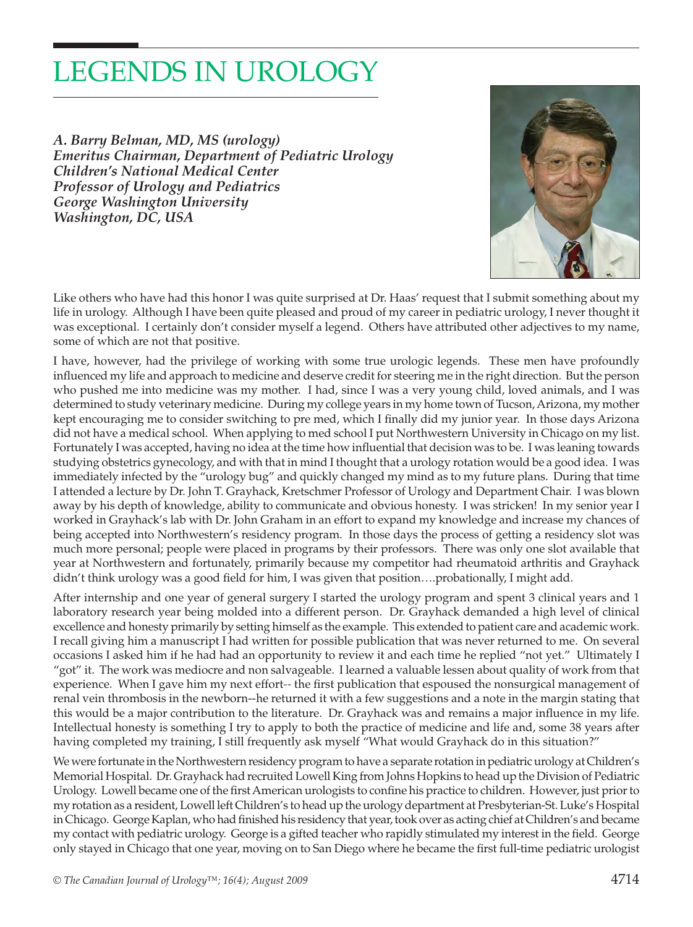## LEGENDS IN UROLOGY

*A. Barry Belman, MD, MS (urology) Emeritus Chairman, Department of Pediatric Urology Children's National Medical Center Professor of Urology and Pediatrics George Washington University Washington, DC, USA*



Like others who have had this honor I was quite surprised at Dr. Haas' request that I submit something about my life in urology. Although I have been quite pleased and proud of my career in pediatric urology, I never thought it was exceptional. I certainly don't consider myself a legend. Others have attributed other adjectives to my name, some of which are not that positive.

I have, however, had the privilege of working with some true urologic legends. These men have profoundly influenced my life and approach to medicine and deserve credit for steering me in the right direction. But the person who pushed me into medicine was my mother. I had, since I was a very young child, loved animals, and I was determined to study veterinary medicine. During my college years in my home town of Tucson, Arizona, my mother kept encouraging me to consider switching to pre med, which I finally did my junior year. In those days Arizona did not have a medical school. When applying to med school I put Northwestern University in Chicago on my list. Fortunately I was accepted, having no idea at the time how influential that decision was to be. I was leaning towards studying obstetrics gynecology, and with that in mind I thought that a urology rotation would be a good idea. I was immediately infected by the "urology bug" and quickly changed my mind as to my future plans. During that time I attended a lecture by Dr. John T. Grayhack, Kretschmer Professor of Urology and Department Chair. I was blown away by his depth of knowledge, ability to communicate and obvious honesty. I was stricken! In my senior year I worked in Grayhack's lab with Dr. John Graham in an effort to expand my knowledge and increase my chances of being accepted into Northwestern's residency program. In those days the process of getting a residency slot was much more personal; people were placed in programs by their professors. There was only one slot available that year at Northwestern and fortunately, primarily because my competitor had rheumatoid arthritis and Grayhack didn't think urology was a good field for him, I was given that position....probationally, I might add.

After internship and one year of general surgery I started the urology program and spent 3 clinical years and 1 laboratory research year being molded into a different person. Dr. Grayhack demanded a high level of clinical excellence and honesty primarily by setting himself as the example. This extended to patient care and academic work. I recall giving him a manuscript I had written for possible publication that was never returned to me. On several occasions I asked him if he had had an opportunity to review it and each time he replied "not yet." Ultimately I "got" it. The work was mediocre and non salvageable. I learned a valuable lessen about quality of work from that experience. When I gave him my next effort-- the first publication that espoused the nonsurgical management of renal vein thrombosis in the newborn--he returned it with a few suggestions and a note in the margin stating that this would be a major contribution to the literature. Dr. Grayhack was and remains a major influence in my life. Intellectual honesty is something I try to apply to both the practice of medicine and life and, some 38 years after having completed my training, I still frequently ask myself "What would Grayhack do in this situation?"

We were fortunate in the Northwestern residency program to have a separate rotation in pediatric urology at Children's Memorial Hospital. Dr. Grayhack had recruited Lowell King from Johns Hopkins to head up the Division of Pediatric Urology. Lowell became one of the first American urologists to confine his practice to children. However, just prior to my rotation as a resident, Lowell left Children's to head up the urology department at Presbyterian-St. Luke's Hospital in Chicago. George Kaplan, who had finished his residency that year, took over as acting chief at Children's and became my contact with pediatric urology. George is a gifted teacher who rapidly stimulated my interest in the field. George only stayed in Chicago that one year, moving on to San Diego where he became the first full-time pediatric urologist